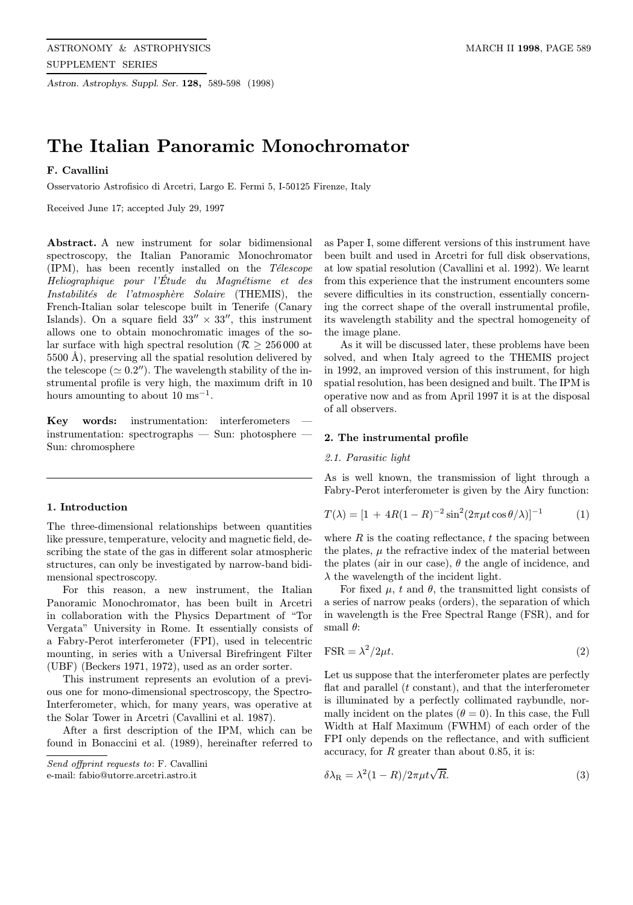Astron. Astrophys. Suppl. Ser. 128, 589-598 (1998)

# The Italian Panoramic Monochromator

# F. Cavallini

Osservatorio Astrofisico di Arcetri, Largo E. Fermi 5, I-50125 Firenze, Italy

Received June 17; accepted July 29, 1997

Abstract. A new instrument for solar bidimensional spectroscopy, the Italian Panoramic Monochromator  $(IPM)$ , has been recently installed on the Télescope Heliographique pour l'Étude du Magnétisme et des Instabilités de l'atmosphère Solaire (THEMIS), the French-Italian solar telescope built in Tenerife (Canary Islands). On a square field  $33'' \times 33''$ , this instrument allows one to obtain monochromatic images of the solar surface with high spectral resolution ( $\mathcal{R} > 256000$  at  $5500$  Å), preserving all the spatial resolution delivered by the telescope ( $\simeq 0.2$ "). The wavelength stability of the instrumental profile is very high, the maximum drift in 10 hours amounting to about  $10 \text{ ms}^{-1}$ .

Key words: instrumentation: interferometers instrumentation: spectrographs — Sun: photosphere — Sun: chromosphere

# 1. Introduction

The three-dimensional relationships between quantities like pressure, temperature, velocity and magnetic field, describing the state of the gas in different solar atmospheric structures, can only be investigated by narrow-band bidimensional spectroscopy.

For this reason, a new instrument, the Italian Panoramic Monochromator, has been built in Arcetri in collaboration with the Physics Department of "Tor Vergata" University in Rome. It essentially consists of a Fabry-Perot interferometer (FPI), used in telecentric mounting, in series with a Universal Birefringent Filter (UBF) (Beckers 1971, 1972), used as an order sorter.

This instrument represents an evolution of a previous one for mono-dimensional spectroscopy, the Spectro-Interferometer, which, for many years, was operative at the Solar Tower in Arcetri (Cavallini et al. 1987).

After a first description of the IPM, which can be found in Bonaccini et al. (1989), hereinafter referred to

e-mail: fabio@utorre.arcetri.astro.it

as Paper I, some different versions of this instrument have been built and used in Arcetri for full disk observations, at low spatial resolution (Cavallini et al. 1992). We learnt from this experience that the instrument encounters some severe difficulties in its construction, essentially concerning the correct shape of the overall instrumental profile, its wavelength stability and the spectral homogeneity of the image plane.

As it will be discussed later, these problems have been solved, and when Italy agreed to the THEMIS project in 1992, an improved version of this instrument, for high spatial resolution, has been designed and built. The IPM is operative now and as from April 1997 it is at the disposal of all observers.

# 2. The instrumental profile

# 2.1. Parasitic light

As is well known, the transmission of light through a Fabry-Perot interferometer is given by the Airy function:

$$
T(\lambda) = [1 + 4R(1 - R)^{-2} \sin^2(2\pi\mu t \cos\theta/\lambda)]^{-1}
$$
 (1)

where  $R$  is the coating reflectance,  $t$  the spacing between the plates,  $\mu$  the refractive index of the material between the plates (air in our case),  $\theta$  the angle of incidence, and  $\lambda$  the wavelength of the incident light.

For fixed  $\mu$ , t and  $\theta$ , the transmitted light consists of a series of narrow peaks (orders), the separation of which in wavelength is the Free Spectral Range (FSR), and for small  $\theta$ :

$$
\text{FSR} = \lambda^2 / 2\mu t. \tag{2}
$$

Let us suppose that the interferometer plates are perfectly flat and parallel  $(t \text{ constant})$ , and that the interferometer is illuminated by a perfectly collimated raybundle, normally incident on the plates  $(\theta = 0)$ . In this case, the Full Width at Half Maximum (FWHM) of each order of the FPI only depends on the reflectance, and with sufficient accuracy, for  $R$  greater than about 0.85, it is:

$$
\delta \lambda_R = \lambda^2 (1 - R) / 2\pi \mu t \sqrt{R}.
$$
\n(3)

Send offprint requests to: F. Cavallini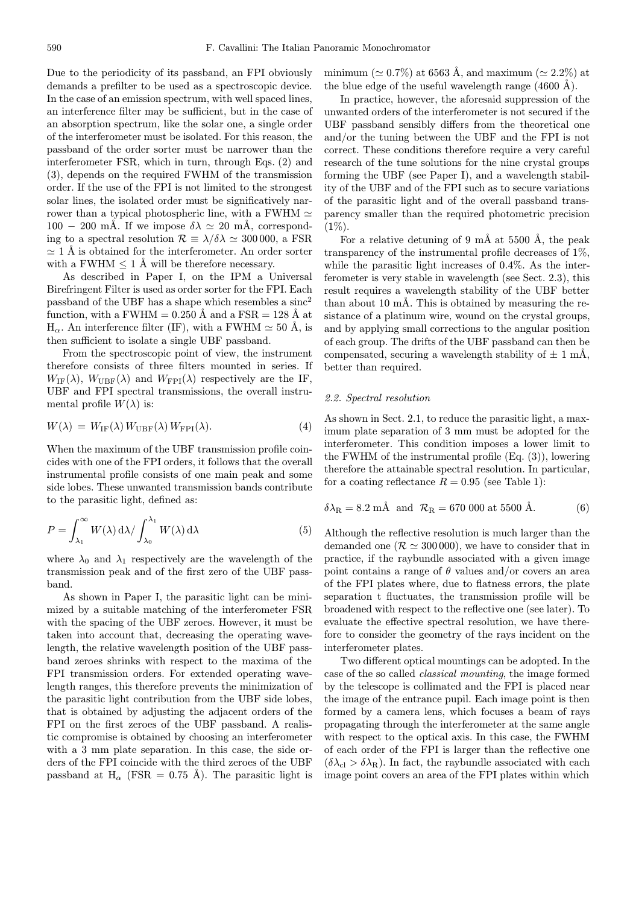Due to the periodicity of its passband, an FPI obviously demands a prefilter to be used as a spectroscopic device. In the case of an emission spectrum, with well spaced lines, an interference filter may be sufficient, but in the case of an absorption spectrum, like the solar one, a single order of the interferometer must be isolated. For this reason, the passband of the order sorter must be narrower than the interferometer FSR, which in turn, through Eqs. (2) and (3), depends on the required FWHM of the transmission order. If the use of the FPI is not limited to the strongest solar lines, the isolated order must be significatively narrower than a typical photospheric line, with a FWHM  $\simeq$  $100 - 200$  mÅ. If we impose  $\delta \lambda \simeq 20$  mÅ, corresponding to a spectral resolution  $\mathcal{R} \equiv \lambda/\delta\lambda \simeq 300\,000$ , a FSR  $\simeq$  1 Å is obtained for the interferometer. An order sorter with a FWHM  $\leq 1$  Å will be therefore necessary.

As described in Paper I, on the IPM a Universal Birefringent Filter is used as order sorter for the FPI. Each passband of the UBF has a shape which resembles a  $\text{sinc}^2$ function, with a FWHM =  $0.250 \text{ Å}$  and a FSR = 128 Å at  $H_{\alpha}$ . An interference filter (IF), with a FWHM  $\simeq$  50 Å, is then sufficient to isolate a single UBF passband.

From the spectroscopic point of view, the instrument therefore consists of three filters mounted in series. If  $W_{\text{IF}}(\lambda)$ ,  $W_{\text{UBF}}(\lambda)$  and  $W_{\text{FPI}}(\lambda)$  respectively are the IF, UBF and FPI spectral transmissions, the overall instrumental profile  $W(\lambda)$  is:

$$
W(\lambda) = W_{\text{IF}}(\lambda) W_{\text{UBF}}(\lambda) W_{\text{FPI}}(\lambda). \tag{4}
$$

When the maximum of the UBF transmission profile coincides with one of the FPI orders, it follows that the overall instrumental profile consists of one main peak and some side lobes. These unwanted transmission bands contribute to the parasitic light, defined as:

$$
P = \int_{\lambda_1}^{\infty} W(\lambda) \, d\lambda / \int_{\lambda_0}^{\lambda_1} W(\lambda) \, d\lambda \tag{5}
$$

where  $\lambda_0$  and  $\lambda_1$  respectively are the wavelength of the transmission peak and of the first zero of the UBF passband.

As shown in Paper I, the parasitic light can be minimized by a suitable matching of the interferometer FSR with the spacing of the UBF zeroes. However, it must be taken into account that, decreasing the operating wavelength, the relative wavelength position of the UBF passband zeroes shrinks with respect to the maxima of the FPI transmission orders. For extended operating wavelength ranges, this therefore prevents the minimization of the parasitic light contribution from the UBF side lobes, that is obtained by adjusting the adjacent orders of the FPI on the first zeroes of the UBF passband. A realistic compromise is obtained by choosing an interferometer with a 3 mm plate separation. In this case, the side orders of the FPI coincide with the third zeroes of the UBF passband at  $H_{\alpha}$  (FSR = 0.75 Å). The parasitic light is minimum ( $\simeq 0.7\%$ ) at 6563 Å, and maximum ( $\simeq 2.2\%$ ) at the blue edge of the useful wavelength range  $(4600 \text{ Å})$ .

In practice, however, the aforesaid suppression of the unwanted orders of the interferometer is not secured if the UBF passband sensibly differs from the theoretical one and/or the tuning between the UBF and the FPI is not correct. These conditions therefore require a very careful research of the tune solutions for the nine crystal groups forming the UBF (see Paper I), and a wavelength stability of the UBF and of the FPI such as to secure variations of the parasitic light and of the overall passband transparency smaller than the required photometric precision  $(1\%)$ .

For a relative detuning of 9 mÅ at 5500 Å, the peak transparency of the instrumental profile decreases of 1%, while the parasitic light increases of 0.4%. As the interferometer is very stable in wavelength (see Sect. 2.3), this result requires a wavelength stability of the UBF better than about 10 mÅ. This is obtained by measuring the resistance of a platinum wire, wound on the crystal groups, and by applying small corrections to the angular position of each group. The drifts of the UBF passband can then be compensated, securing a wavelength stability of  $\pm$  1 mÅ, better than required.

# 2.2. Spectral resolution

As shown in Sect. 2.1, to reduce the parasitic light, a maximum plate separation of 3 mm must be adopted for the interferometer. This condition imposes a lower limit to the FWHM of the instrumental profile (Eq. (3)), lowering therefore the attainable spectral resolution. In particular, for a coating reflectance  $R = 0.95$  (see Table 1):

$$
\delta \lambda_{\rm R} = 8.2 \text{ mA} \text{ and } \mathcal{R}_{\rm R} = 670 \text{ 000 at } 5500 \text{ Å}. \tag{6}
$$

Although the reflective resolution is much larger than the demanded one ( $\mathcal{R} \simeq 300 000$ ), we have to consider that in practice, if the raybundle associated with a given image point contains a range of  $\theta$  values and/or covers an area of the FPI plates where, due to flatness errors, the plate separation t fluctuates, the transmission profile will be broadened with respect to the reflective one (see later). To evaluate the effective spectral resolution, we have therefore to consider the geometry of the rays incident on the interferometer plates.

Two different optical mountings can be adopted. In the case of the so called classical mounting, the image formed by the telescope is collimated and the FPI is placed near the image of the entrance pupil. Each image point is then formed by a camera lens, which focuses a beam of rays propagating through the interferometer at the same angle with respect to the optical axis. In this case, the FWHM of each order of the FPI is larger than the reflective one  $(\delta \lambda_{\rm cl} > \delta \lambda_{\rm R})$ . In fact, the raybundle associated with each image point covers an area of the FPI plates within which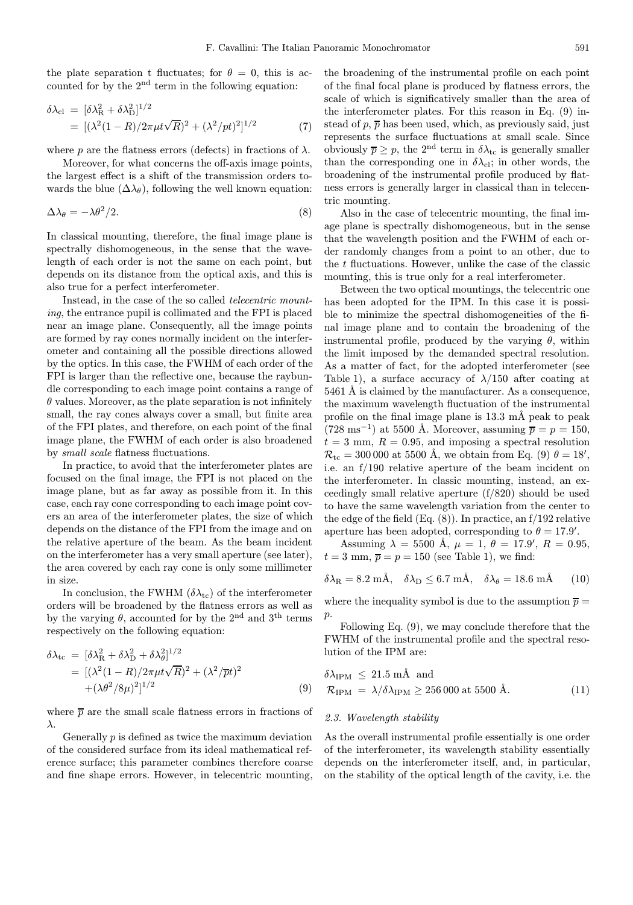the plate separation t fluctuates; for  $\theta = 0$ , this is accounted for by the  $2<sup>nd</sup>$  term in the following equation:

$$
\delta\lambda_{\rm cl} = [\delta\lambda_{\rm R}^2 + \delta\lambda_{\rm D}^2]^{1/2}
$$
  
= 
$$
[(\lambda^2(1-R)/2\pi\mu t\sqrt{R})^2 + (\lambda^2/pt)^2]^{1/2}
$$
 (7)

where p are the flatness errors (defects) in fractions of  $\lambda$ .

Moreover, for what concerns the off-axis image points, the largest effect is a shift of the transmission orders towards the blue  $(\Delta\lambda_{\theta})$ , following the well known equation:

$$
\Delta \lambda_{\theta} = -\lambda \theta^2 / 2. \tag{8}
$$

In classical mounting, therefore, the final image plane is spectrally dishomogeneous, in the sense that the wavelength of each order is not the same on each point, but depends on its distance from the optical axis, and this is also true for a perfect interferometer.

Instead, in the case of the so called telecentric mounting, the entrance pupil is collimated and the FPI is placed near an image plane. Consequently, all the image points are formed by ray cones normally incident on the interferometer and containing all the possible directions allowed by the optics. In this case, the FWHM of each order of the FPI is larger than the reflective one, because the raybundle corresponding to each image point contains a range of  $\theta$  values. Moreover, as the plate separation is not infinitely small, the ray cones always cover a small, but finite area of the FPI plates, and therefore, on each point of the final image plane, the FWHM of each order is also broadened by small scale flatness fluctuations.

In practice, to avoid that the interferometer plates are focused on the final image, the FPI is not placed on the image plane, but as far away as possible from it. In this case, each ray cone corresponding to each image point covers an area of the interferometer plates, the size of which depends on the distance of the FPI from the image and on the relative aperture of the beam. As the beam incident on the interferometer has a very small aperture (see later), the area covered by each ray cone is only some millimeter in size.

In conclusion, the FWHM  $(\delta \lambda_{\rm tc})$  of the interferometer orders will be broadened by the flatness errors as well as by the varying  $\theta$ , accounted for by the 2<sup>nd</sup> and 3<sup>th</sup> terms respectively on the following equation:

$$
\delta\lambda_{\rm tc} = [\delta\lambda_{\rm R}^2 + \delta\lambda_{\rm D}^2 + \delta\lambda_{\theta}^2]^{1/2}
$$
  
= 
$$
[(\lambda^2(1-R)/2\pi\mu t\sqrt{R})^2 + (\lambda^2/\overline{p}t)^2
$$

$$
+(\lambda\theta^2/8\mu)^2]^{1/2}
$$
 (9)

where  $\overline{p}$  are the small scale flatness errors in fractions of λ.

Generally  $p$  is defined as twice the maximum deviation of the considered surface from its ideal mathematical reference surface; this parameter combines therefore coarse and fine shape errors. However, in telecentric mounting, the broadening of the instrumental profile on each point of the final focal plane is produced by flatness errors, the scale of which is significatively smaller than the area of the interferometer plates. For this reason in Eq. (9) instead of  $p, \overline{p}$  has been used, which, as previously said, just represents the surface fluctuations at small scale. Since obviously  $\overline{p} \geq p$ , the 2<sup>nd</sup> term in  $\delta \lambda_{\text{tc}}$  is generally smaller than the corresponding one in  $\delta \lambda_{\text{cl}}$ ; in other words, the broadening of the instrumental profile produced by flatness errors is generally larger in classical than in telecentric mounting.

Also in the case of telecentric mounting, the final image plane is spectrally dishomogeneous, but in the sense that the wavelength position and the FWHM of each order randomly changes from a point to an other, due to the  $t$  fluctuations. However, unlike the case of the classic mounting, this is true only for a real interferometer.

Between the two optical mountings, the telecentric one has been adopted for the IPM. In this case it is possible to minimize the spectral dishomogeneities of the final image plane and to contain the broadening of the instrumental profile, produced by the varying  $\theta$ , within the limit imposed by the demanded spectral resolution. As a matter of fact, for the adopted interferometer (see Table 1), a surface accuracy of  $\lambda/150$  after coating at 5461 Å is claimed by the manufacturer. As a consequence, the maximum wavelength fluctuation of the instrumental profile on the final image plane is  $13.3 \text{ mA}$  peak to peak  $(728 \text{ ms}^{-1})$  at 5500 Å. Moreover, assuming  $\overline{p} = p = 150$ ,  $t = 3$  mm,  $R = 0.95$ , and imposing a spectral resolution  $\mathcal{R}_{\text{tc}} = 300\,000$  at 5500 Å, we obtain from Eq. (9)  $\theta = 18'$ , i.e. an f/190 relative aperture of the beam incident on the interferometer. In classic mounting, instead, an exceedingly small relative aperture (f/820) should be used to have the same wavelength variation from the center to the edge of the field  $(Eq. (8))$ . In practice, an  $f/192$  relative aperture has been adopted, corresponding to  $\theta = 17.9'$ .

Assuming  $\lambda = 5500 \text{ Å}, \ \mu = 1, \ \theta = 17.9', \ R = 0.95,$  $t = 3$  mm,  $\overline{p} = p = 150$  (see Table 1), we find:

$$
\delta\lambda_{\rm R} = 8.2 \text{ mA}, \quad \delta\lambda_{\rm D} \leq 6.7 \text{ mA}, \quad \delta\lambda_{\theta} = 18.6 \text{ mA} \tag{10}
$$

where the inequality symbol is due to the assumption  $\bar{p} =$  $p$ .

Following Eq. (9), we may conclude therefore that the FWHM of the instrumental profile and the spectral resolution of the IPM are:

$$
\delta\lambda_{\rm IPM} \le 21.5 \text{ mÅ} \text{ and}
$$
  

$$
\mathcal{R}_{\rm IPM} = \lambda/\delta\lambda_{\rm IPM} \ge 256\,000 \text{ at } 5500 \text{ Å}.
$$
 (11)

# 2.3. Wavelength stability

As the overall instrumental profile essentially is one order of the interferometer, its wavelength stability essentially depends on the interferometer itself, and, in particular, on the stability of the optical length of the cavity, i.e. the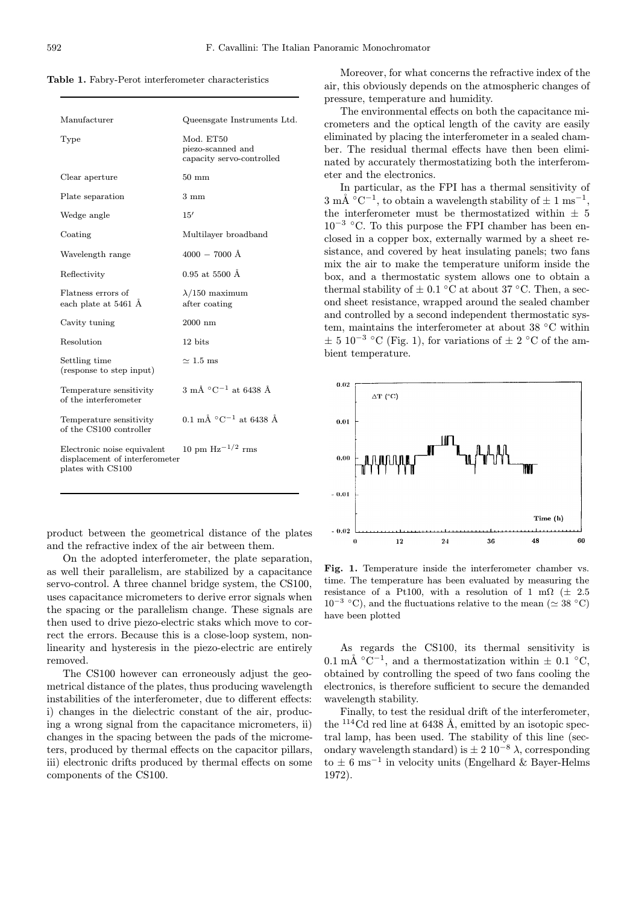| Manufacturer                                                                       | Queensgate Instruments Ltd.                                 |
|------------------------------------------------------------------------------------|-------------------------------------------------------------|
| Type                                                                               | Mod. ET50<br>piezo-scanned and<br>capacity servo-controlled |
| Clear aperture                                                                     | $50 \text{ mm}$                                             |
| Plate separation                                                                   | $3 \text{ mm}$                                              |
| Wedge angle                                                                        | 15'                                                         |
| Coating                                                                            | Multilayer broadband                                        |
| Wavelength range                                                                   | $4000 - 7000$ Å                                             |
| Reflectivity                                                                       | $0.95$ at 5500 Å                                            |
| Flatness errors of<br>each plate at 5461 Å                                         | $\lambda/150$ maximum<br>after coating                      |
| Cavity tuning                                                                      | $2000$ nm                                                   |
| Resolution                                                                         | 12 bits                                                     |
| Settling time<br>(response to step input)                                          | $\simeq 1.5~\mathrm{ms}$                                    |
| Temperature sensitivity<br>of the interferometer                                   | $3 \text{ mA} \text{ °C}^{-1}$ at 6438 Å                    |
| Temperature sensitivity<br>of the CS100 controller                                 | 0.1 mÅ $^{\circ}$ C <sup>-1</sup> at 6438 Å                 |
| Electronic noise equivalent<br>displacement of interferometer<br>plates with CS100 | 10 pm $\rm Hz^{-1/2}$ rms                                   |
|                                                                                    |                                                             |

product between the geometrical distance of the plates and the refractive index of the air between them.

On the adopted interferometer, the plate separation, as well their parallelism, are stabilized by a capacitance servo-control. A three channel bridge system, the CS100, uses capacitance micrometers to derive error signals when the spacing or the parallelism change. These signals are then used to drive piezo-electric staks which move to correct the errors. Because this is a close-loop system, nonlinearity and hysteresis in the piezo-electric are entirely removed.

The CS100 however can erroneously adjust the geometrical distance of the plates, thus producing wavelength instabilities of the interferometer, due to different effects: i) changes in the dielectric constant of the air, producing a wrong signal from the capacitance micrometers, ii) changes in the spacing between the pads of the micrometers, produced by thermal effects on the capacitor pillars, iii) electronic drifts produced by thermal effects on some components of the CS100.

Moreover, for what concerns the refractive index of the air, this obviously depends on the atmospheric changes of pressure, temperature and humidity.

The environmental effects on both the capacitance micrometers and the optical length of the cavity are easily eliminated by placing the interferometer in a sealed chamber. The residual thermal effects have then been eliminated by accurately thermostatizing both the interferometer and the electronics.

In particular, as the FPI has a thermal sensitivity of  $3 \text{ mA} \text{°C}^{-1}$ , to obtain a wavelength stability of  $\pm 1 \text{ ms}^{-1}$ , the interferometer must be thermostatized within  $\pm$  5  $10^{-3}$  °C. To this purpose the FPI chamber has been enclosed in a copper box, externally warmed by a sheet resistance, and covered by heat insulating panels; two fans mix the air to make the temperature uniform inside the box, and a thermostatic system allows one to obtain a thermal stability of  $\pm$  0.1 °C at about 37 °C. Then, a second sheet resistance, wrapped around the sealed chamber and controlled by a second independent thermostatic system, maintains the interferometer at about 38 ◦C within  $\pm$  5 10<sup>-3</sup> °C (Fig. 1), for variations of  $\pm$  2 °C of the ambient temperature.



Fig. 1. Temperature inside the interferometer chamber vs. time. The temperature has been evaluated by measuring the resistance of a Pt100, with a resolution of 1 m $\Omega$  ( $\pm$  2.5) 10<sup>−3</sup> °C), and the fluctuations relative to the mean ( $\simeq$  38 °C) have been plotted

As regards the CS100, its thermal sensitivity is 0.1 mÅ  $\rm{^{\circ}C^{-1}}$ , and a thermostatization within  $\pm$  0.1  $\rm{^{\circ}C}$ , obtained by controlling the speed of two fans cooling the electronics, is therefore sufficient to secure the demanded wavelength stability.

Finally, to test the residual drift of the interferometer, the  $^{114}$ Cd red line at 6438 Å, emitted by an isotopic spectral lamp, has been used. The stability of this line (secondary wavelength standard) is  $\pm 2 \cdot 10^{-8} \lambda$ , corresponding to  $\pm$  6 ms<sup>-1</sup> in velocity units (Engelhard & Bayer-Helms 1972).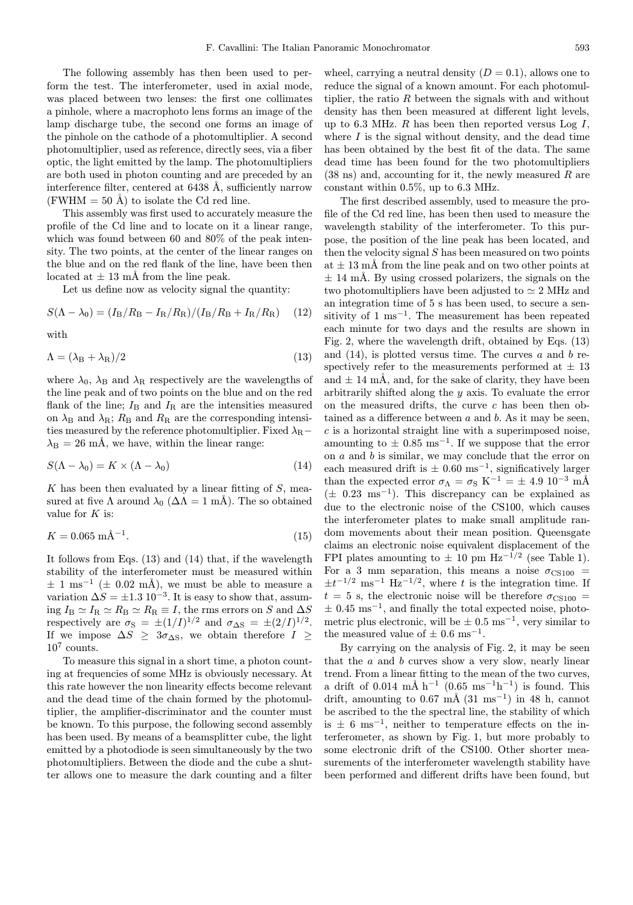The following assembly has then been used to perform the test. The interferometer, used in axial mode, was placed between two lenses: the first one collimates a pinhole, where a macrophoto lens forms an image of the lamp discharge tube, the second one forms an image of the pinhole on the cathode of a photomultiplier. A second photomultiplier, used as reference, directly sees, via a fiber optic, the light emitted by the lamp. The photomultipliers are both used in photon counting and are preceded by an interference filter, centered at  $6438 \text{ Å}$ , sufficiently narrow (FWHM  $= 50$  Å) to isolate the Cd red line.

This assembly was first used to accurately measure the profile of the Cd line and to locate on it a linear range, which was found between 60 and 80% of the peak intensity. The two points, at the center of the linear ranges on the blue and on the red flank of the line, have been then located at  $\pm$  13 mÅ from the line peak.

Let us define now as velocity signal the quantity:

$$
S(\Lambda - \lambda_0) = (I_{\rm B}/R_{\rm B} - I_{\rm R}/R_{\rm R})/(I_{\rm B}/R_{\rm B} + I_{\rm R}/R_{\rm R})
$$
 (12)

with

$$
\Lambda = (\lambda_{\rm B} + \lambda_{\rm R})/2 \tag{13}
$$

where  $\lambda_0$ ,  $\lambda_B$  and  $\lambda_R$  respectively are the wavelengths of the line peak and of two points on the blue and on the red flank of the line;  $I_\text{B}$  and  $I_\text{R}$  are the intensities measured on  $\lambda_B$  and  $\lambda_R$ ;  $R_B$  and  $R_R$  are the corresponding intensities measured by the reference photomultiplier. Fixed  $\lambda_{\rm R}$  –  $\lambda_B = 26$  mÅ, we have, within the linear range:

$$
S(\Lambda - \lambda_0) = K \times (\Lambda - \lambda_0) \tag{14}
$$

K has been then evaluated by a linear fitting of  $S$ , measured at five  $\Lambda$  around  $\lambda_0$  ( $\Delta\Lambda = 1$  mÅ). The so obtained value for  $K$  is:

$$
K = 0.065 \text{ mA}^{-1}.
$$
 (15)

It follows from Eqs. (13) and (14) that, if the wavelength stability of the interferometer must be measured within  $\pm$  1 ms<sup>-1</sup> ( $\pm$  0.02 mÅ), we must be able to measure a variation  $\Delta S = \pm 1.3 \, 10^{-3}$ . It is easy to show that, assuming  $I_B \simeq I_R \simeq R_B \simeq R_R \equiv I$ , the rms errors on S and  $\Delta S$ respectively are  $\sigma_{\rm S} = \pm (1/I)^{1/2}$  and  $\sigma_{\Delta S} = \pm (2/I)^{1/2}$ . If we impose  $\Delta S$  ≥ 3 $\sigma_{\Delta S}$ , we obtain therefore  $I \geq$  $10^7$  counts.

To measure this signal in a short time, a photon counting at frequencies of some MHz is obviously necessary. At this rate however the non linearity effects become relevant and the dead time of the chain formed by the photomultiplier, the amplifier-discriminator and the counter must be known. To this purpose, the following second assembly has been used. By means of a beamsplitter cube, the light emitted by a photodiode is seen simultaneously by the two photomultipliers. Between the diode and the cube a shutter allows one to measure the dark counting and a filter

wheel, carrying a neutral density  $(D = 0.1)$ , allows one to reduce the signal of a known amount. For each photomultiplier, the ratio R between the signals with and without density has then been measured at different light levels, up to 6.3 MHz.  $R$  has been then reported versus  $Log I$ , where  $I$  is the signal without density, and the dead time has been obtained by the best fit of the data. The same dead time has been found for the two photomultipliers  $(38 \text{ ns})$  and, accounting for it, the newly measured R are constant within 0.5%, up to 6.3 MHz.

The first described assembly, used to measure the profile of the Cd red line, has been then used to measure the wavelength stability of the interferometer. To this purpose, the position of the line peak has been located, and then the velocity signal  $S$  has been measured on two points at  $\pm$  13 mÅ from the line peak and on two other points at  $\pm$  14 mÅ. By using crossed polarizers, the signals on the two photomultipliers have been adjusted to  $\simeq 2$  MHz and an integration time of 5 s has been used, to secure a sensitivity of 1 ms<sup> $-1$ </sup>. The measurement has been repeated each minute for two days and the results are shown in Fig. 2, where the wavelength drift, obtained by Eqs. (13) and  $(14)$ , is plotted versus time. The curves a and b respectively refer to the measurements performed at  $\pm 13$ and  $\pm$  14 mÅ, and, for the sake of clarity, they have been arbitrarily shifted along the y axis. To evaluate the error on the measured drifts, the curve  $c$  has been then obtained as a difference between  $a$  and  $b$ . As it may be seen,  $c$  is a horizontal straight line with a superimposed noise, amounting to  $\pm$  0.85 ms<sup>-1</sup>. If we suppose that the error on  $a$  and  $b$  is similar, we may conclude that the error on each measured drift is  $\pm 0.60$  ms<sup>-1</sup>, significatively larger than the expected error  $\sigma_{\Lambda} = \sigma_{\rm S} \, {\rm K}^{-1} = \pm \, 4.9 \, 10^{-3} \, {\rm m\AA}$  $(\pm 0.23 \text{ ms}^{-1})$ . This discrepancy can be explained as due to the electronic noise of the CS100, which causes the interferometer plates to make small amplitude random movements about their mean position. Queensgate claims an electronic noise equivalent displacement of the FPI plates amounting to  $\pm$  10 pm Hz<sup>-1/2</sup> (see Table 1). For a 3 mm separation, this means a noise  $\sigma_{\text{CS100}} =$  $\pm t^{-1/2}$  ms<sup>-1</sup> Hz<sup>-1/2</sup>, where t is the integration time. If  $t = 5$  s, the electronic noise will be therefore  $\sigma_{\text{CS100}} =$  $\pm$  0.45 ms<sup>-1</sup>, and finally the total expected noise, photometric plus electronic, will be  $\pm 0.5$  ms<sup>-1</sup>, very similar to the measured value of  $\pm$  0.6 ms<sup>-1</sup>.

By carrying on the analysis of Fig. 2, it may be seen that the  $a$  and  $b$  curves show a very slow, nearly linear trend. From a linear fitting to the mean of the two curves, a drift of 0.014 mÅ h<sup>-1</sup> (0.65 ms<sup>-1</sup>h<sup>-1</sup>) is found. This drift, amounting to 0.67 mÅ (31 ms<sup>-1</sup>) in 48 h, cannot be ascribed to the the spectral line, the stability of which is  $± 6$  ms<sup>-1</sup>, neither to temperature effects on the interferometer, as shown by Fig. 1, but more probably to some electronic drift of the CS100. Other shorter measurements of the interferometer wavelength stability have been performed and different drifts have been found, but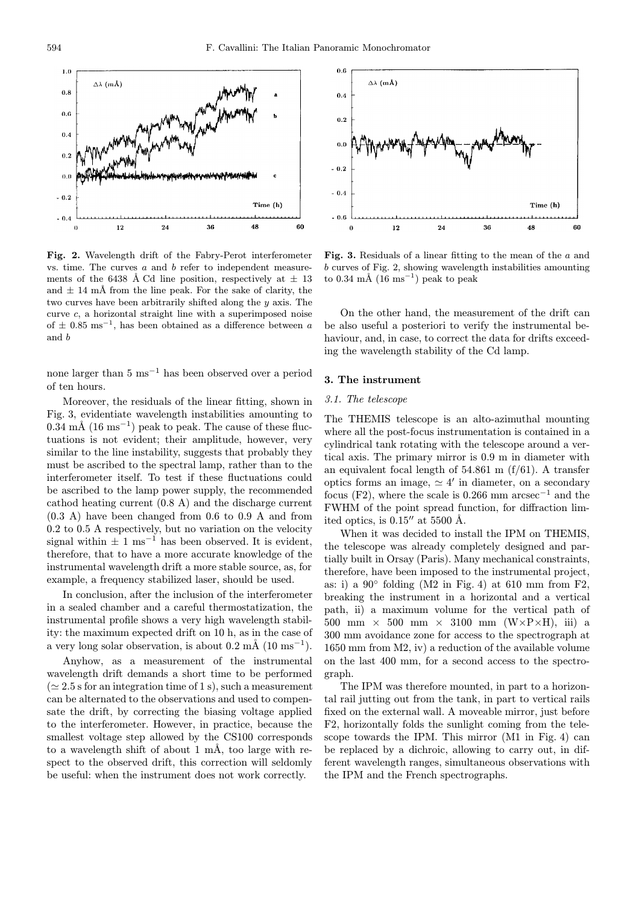

Fig. 2. Wavelength drift of the Fabry-Perot interferometer vs. time. The curves  $a$  and  $b$  refer to independent measurements of the 6438 Å Cd line position, respectively at  $\pm$  13 and  $\pm$  14 mÅ from the line peak. For the sake of clarity, the two curves have been arbitrarily shifted along the y axis. The curve c, a horizontal straight line with a superimposed noise of  $\pm$  0.85 ms<sup>-1</sup>, has been obtained as a difference between a and b

none larger than 5 ms<sup>−1</sup> has been observed over a period of ten hours.

Moreover, the residuals of the linear fitting, shown in Fig. 3, evidentiate wavelength instabilities amounting to  $0.34 \text{ m\AA}$  (16 ms<sup>-1</sup>) peak to peak. The cause of these fluctuations is not evident; their amplitude, however, very similar to the line instability, suggests that probably they must be ascribed to the spectral lamp, rather than to the interferometer itself. To test if these fluctuations could be ascribed to the lamp power supply, the recommended cathod heating current (0.8 A) and the discharge current (0.3 A) have been changed from 0.6 to 0.9 A and from 0.2 to 0.5 A respectively, but no variation on the velocity signal within  $\pm 1$  ms<sup>-1</sup> has been observed. It is evident, therefore, that to have a more accurate knowledge of the instrumental wavelength drift a more stable source, as, for example, a frequency stabilized laser, should be used.

In conclusion, after the inclusion of the interferometer in a sealed chamber and a careful thermostatization, the instrumental profile shows a very high wavelength stability: the maximum expected drift on 10 h, as in the case of a very long solar observation, is about  $0.2 \text{ mA}$  ( $10 \text{ ms}^{-1}$ ).

Anyhow, as a measurement of the instrumental wavelength drift demands a short time to be performed  $(\simeq 2.5 \text{ s}$  for an integration time of 1 s), such a measurement can be alternated to the observations and used to compensate the drift, by correcting the biasing voltage applied to the interferometer. However, in practice, because the smallest voltage step allowed by the CS100 corresponds to a wavelength shift of about  $1 \text{ mA}$ , too large with respect to the observed drift, this correction will seldomly be useful: when the instrument does not work correctly.



Fig. 3. Residuals of a linear fitting to the mean of the  $a$  and b curves of Fig. 2, showing wavelength instabilities amounting to 0.34 mÅ (16 ms<sup>-1</sup>) peak to peak

On the other hand, the measurement of the drift can be also useful a posteriori to verify the instrumental behaviour, and, in case, to correct the data for drifts exceeding the wavelength stability of the Cd lamp.

# 3. The instrument

#### 3.1. The telescope

The THEMIS telescope is an alto-azimuthal mounting where all the post-focus instrumentation is contained in a cylindrical tank rotating with the telescope around a vertical axis. The primary mirror is 0.9 m in diameter with an equivalent focal length of  $54.861$  m  $(f/61)$ . A transfer optics forms an image,  $\simeq 4'$  in diameter, on a secondary focus (F2), where the scale is 0.266 mm arcsec<sup>-1</sup> and the FWHM of the point spread function, for diffraction limited optics, is  $0.15''$  at 5500 Å.

When it was decided to install the IPM on THEMIS, the telescope was already completely designed and partially built in Orsay (Paris). Many mechanical constraints, therefore, have been imposed to the instrumental project, as: i) a  $90^\circ$  folding (M2 in Fig. 4) at 610 mm from F2, breaking the instrument in a horizontal and a vertical path, ii) a maximum volume for the vertical path of 500 mm  $\times$  500 mm  $\times$  3100 mm (W $\times$ P $\times$ H), iii) a 300 mm avoidance zone for access to the spectrograph at 1650 mm from M2, iv) a reduction of the available volume on the last 400 mm, for a second access to the spectrograph.

The IPM was therefore mounted, in part to a horizontal rail jutting out from the tank, in part to vertical rails fixed on the external wall. A moveable mirror, just before F2, horizontally folds the sunlight coming from the telescope towards the IPM. This mirror (M1 in Fig. 4) can be replaced by a dichroic, allowing to carry out, in different wavelength ranges, simultaneous observations with the IPM and the French spectrographs.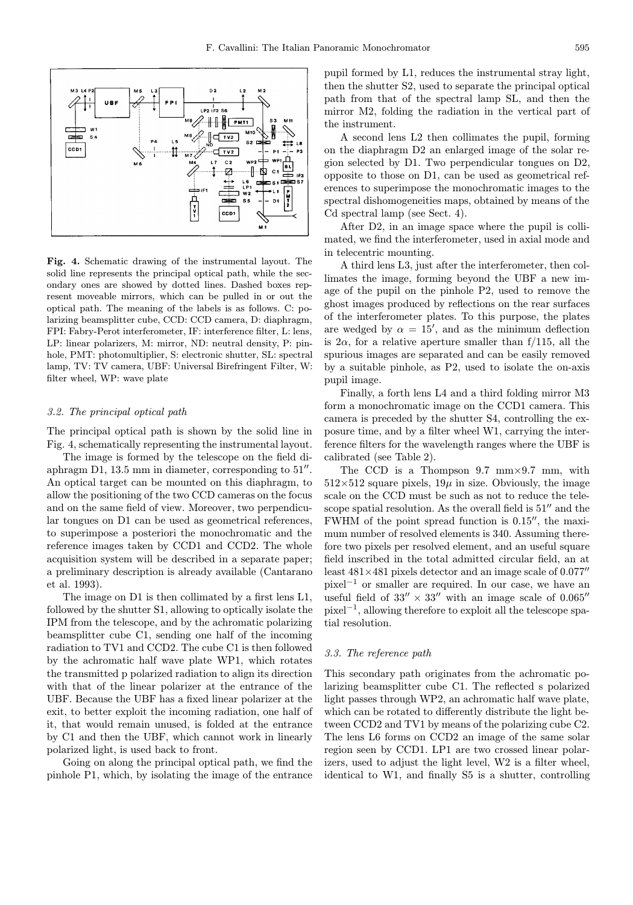

Fig. 4. Schematic drawing of the instrumental layout. The solid line represents the principal optical path, while the secondary ones are showed by dotted lines. Dashed boxes represent moveable mirrors, which can be pulled in or out the optical path. The meaning of the labels is as follows. C: polarizing beamsplitter cube, CCD: CCD camera, D: diaphragm, FPI: Fabry-Perot interferometer, IF: interference filter, L: lens, LP: linear polarizers, M: mirror, ND: neutral density, P: pinhole, PMT: photomultiplier, S: electronic shutter, SL: spectral lamp, TV: TV camera, UBF: Universal Birefringent Filter, W: filter wheel, WP: wave plate

#### 3.2. The principal optical path

The principal optical path is shown by the solid line in Fig. 4, schematically representing the instrumental layout.

The image is formed by the telescope on the field diaphragm D1, 13.5 mm in diameter, corresponding to  $51''$ . An optical target can be mounted on this diaphragm, to allow the positioning of the two CCD cameras on the focus and on the same field of view. Moreover, two perpendicular tongues on D1 can be used as geometrical references, to superimpose a posteriori the monochromatic and the reference images taken by CCD1 and CCD2. The whole acquisition system will be described in a separate paper; a preliminary description is already available (Cantarano et al. 1993).

The image on D1 is then collimated by a first lens L1, followed by the shutter S1, allowing to optically isolate the IPM from the telescope, and by the achromatic polarizing beamsplitter cube C1, sending one half of the incoming radiation to TV1 and CCD2. The cube C1 is then followed by the achromatic half wave plate WP1, which rotates the transmitted p polarized radiation to align its direction with that of the linear polarizer at the entrance of the UBF. Because the UBF has a fixed linear polarizer at the exit, to better exploit the incoming radiation, one half of it, that would remain unused, is folded at the entrance by C1 and then the UBF, which cannot work in linearly polarized light, is used back to front.

Going on along the principal optical path, we find the pinhole P1, which, by isolating the image of the entrance pupil formed by L1, reduces the instrumental stray light, then the shutter S2, used to separate the principal optical path from that of the spectral lamp SL, and then the mirror M2, folding the radiation in the vertical part of the instrument.

A second lens L2 then collimates the pupil, forming on the diaphragm D2 an enlarged image of the solar region selected by D1. Two perpendicular tongues on D2, opposite to those on D1, can be used as geometrical references to superimpose the monochromatic images to the spectral dishomogeneities maps, obtained by means of the Cd spectral lamp (see Sect. 4).

After D2, in an image space where the pupil is collimated, we find the interferometer, used in axial mode and in telecentric mounting.

A third lens L3, just after the interferometer, then collimates the image, forming beyond the UBF a new image of the pupil on the pinhole P2, used to remove the ghost images produced by reflections on the rear surfaces of the interferometer plates. To this purpose, the plates are wedged by  $\alpha = 15'$ , and as the minimum deflection is  $2\alpha$ , for a relative aperture smaller than f/115, all the spurious images are separated and can be easily removed by a suitable pinhole, as P2, used to isolate the on-axis pupil image.

Finally, a forth lens L4 and a third folding mirror M3 form a monochromatic image on the CCD1 camera. This camera is preceded by the shutter S4, controlling the exposure time, and by a filter wheel W1, carrying the interference filters for the wavelength ranges where the UBF is calibrated (see Table 2).

The CCD is a Thompson  $9.7 \, \text{mm} \times 9.7 \, \text{mm}$ , with  $512\times512$  square pixels,  $19\mu$  in size. Obviously, the image scale on the CCD must be such as not to reduce the telescope spatial resolution. As the overall field is  $51<sup>′</sup>$  and the FWHM of the point spread function is  $0.15$ ", the maximum number of resolved elements is 340. Assuming therefore two pixels per resolved element, and an useful square field inscribed in the total admitted circular field, an at least  $481\times481$  pixels detector and an image scale of 0.077" pixel<sup>−</sup><sup>1</sup> or smaller are required. In our case, we have an useful field of 33"  $\times$  33" with an image scale of 0.065" pixel<sup>−</sup><sup>1</sup>, allowing therefore to exploit all the telescope spatial resolution.

### 3.3. The reference path

This secondary path originates from the achromatic polarizing beamsplitter cube C1. The reflected s polarized light passes through WP2, an achromatic half wave plate, which can be rotated to differently distribute the light between CCD2 and TV1 by means of the polarizing cube C2. The lens L6 forms on CCD2 an image of the same solar region seen by CCD1. LP1 are two crossed linear polarizers, used to adjust the light level, W2 is a filter wheel, identical to W1, and finally S5 is a shutter, controlling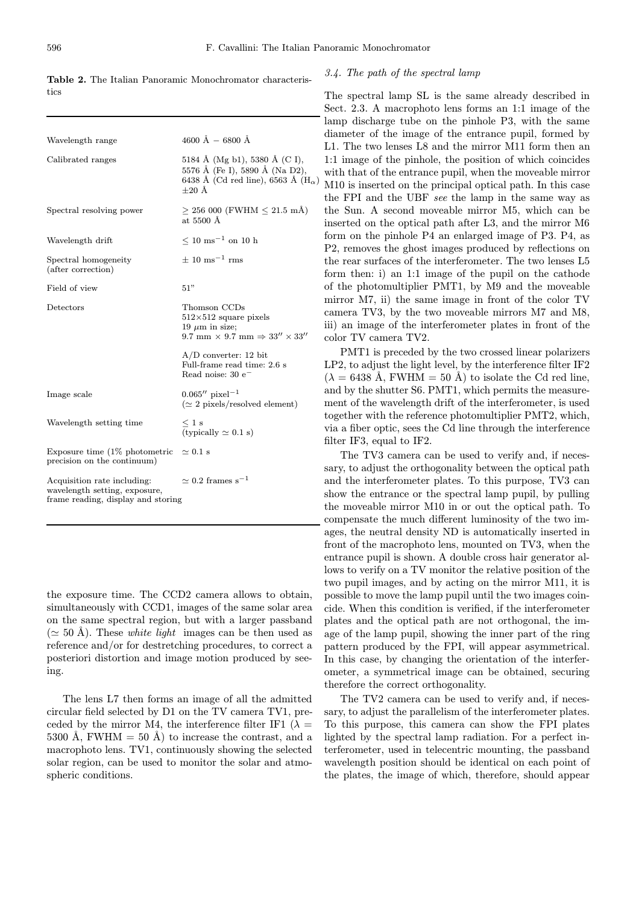| Wavelength range                                                                                   | $4600 \text{ Å} - 6800 \text{ Å}$                                                                                            |
|----------------------------------------------------------------------------------------------------|------------------------------------------------------------------------------------------------------------------------------|
| Calibrated ranges                                                                                  | 5184 Å (Mg b1), 5380 Å (C I),<br>5576 Å (Fe I), 5890 Å (Na D2),<br>6438 Å (Cd red line), 6563 Å ( $H_{\alpha}$ )<br>$+20$ Å  |
| Spectral resolving power                                                                           | $\geq$ 256 000 (FWHM $\leq$ 21.5 mÅ)<br>at $5500 \text{ Å}$                                                                  |
| Wavelength drift                                                                                   | $\leq 10$ ms <sup>-1</sup> on 10 h                                                                                           |
| Spectral homogeneity<br>(after correction)                                                         | $\pm 10$ ms <sup>-1</sup> rms                                                                                                |
| Field of view                                                                                      | 51"                                                                                                                          |
| Detectors                                                                                          | Thomson CCDs<br>$512\times512$ square pixels<br>19 $\mu$ m in size;<br>9.7 mm $\times$ 9.7 mm $\Rightarrow$ 33" $\times$ 33" |
|                                                                                                    | $A/D$ converter: 12 bit<br>Full-frame read time: 2.6 s<br>Read noise: $30 e^-$                                               |
| Image scale                                                                                        | $0.065''$ pixel <sup>-1</sup><br>$(\simeq 2$ pixels/resolved element)                                                        |
| Wavelength setting time                                                                            | $\leq 1$ s<br>(typically $\simeq$ 0.1 s)                                                                                     |
| Exposure time $(1\%$ photometric<br>precision on the continuum)                                    | $\simeq$ 0.1 s                                                                                                               |
| Acquisition rate including:<br>wavelength setting, exposure,<br>frame reading, display and storing | $\simeq 0.2$ frames s <sup>-1</sup>                                                                                          |
|                                                                                                    |                                                                                                                              |

Table 2. The Italian Panoramic Monochromator characteristics

# 3.4. The path of the spectral lamp

The spectral lamp SL is the same already described in Sect. 2.3. A macrophoto lens forms an 1:1 image of the lamp discharge tube on the pinhole P3, with the same diameter of the image of the entrance pupil, formed by L1. The two lenses L8 and the mirror M11 form then an 1:1 image of the pinhole, the position of which coincides with that of the entrance pupil, when the moveable mirror M10 is inserted on the principal optical path. In this case the FPI and the UBF see the lamp in the same way as the Sun. A second moveable mirror M5, which can be inserted on the optical path after L3, and the mirror M6 form on the pinhole P4 an enlarged image of P3. P4, as P2, removes the ghost images produced by reflections on the rear surfaces of the interferometer. The two lenses L5 form then: i) an 1:1 image of the pupil on the cathode of the photomultiplier PMT1, by M9 and the moveable mirror M7, ii) the same image in front of the color TV camera TV3, by the two moveable mirrors M7 and M8, iii) an image of the interferometer plates in front of the color TV camera TV2.

PMT1 is preceded by the two crossed linear polarizers LP2, to adjust the light level, by the interference filter IF2  $(\lambda = 6438 \text{ Å}, \text{FWHM} = 50 \text{ Å})$  to isolate the Cd red line, and by the shutter S6. PMT1, which permits the measurement of the wavelength drift of the interferometer, is used together with the reference photomultiplier PMT2, which, via a fiber optic, sees the Cd line through the interference filter IF3, equal to IF2.

The TV3 camera can be used to verify and, if necessary, to adjust the orthogonality between the optical path and the interferometer plates. To this purpose, TV3 can show the entrance or the spectral lamp pupil, by pulling the moveable mirror M10 in or out the optical path. To compensate the much different luminosity of the two images, the neutral density ND is automatically inserted in front of the macrophoto lens, mounted on TV3, when the entrance pupil is shown. A double cross hair generator allows to verify on a TV monitor the relative position of the two pupil images, and by acting on the mirror M11, it is possible to move the lamp pupil until the two images coincide. When this condition is verified, if the interferometer plates and the optical path are not orthogonal, the image of the lamp pupil, showing the inner part of the ring pattern produced by the FPI, will appear asymmetrical. In this case, by changing the orientation of the interferometer, a symmetrical image can be obtained, securing therefore the correct orthogonality.

The TV2 camera can be used to verify and, if necessary, to adjust the parallelism of the interferometer plates. To this purpose, this camera can show the FPI plates lighted by the spectral lamp radiation. For a perfect interferometer, used in telecentric mounting, the passband wavelength position should be identical on each point of the plates, the image of which, therefore, should appear

the exposure time. The CCD2 camera allows to obtain, simultaneously with CCD1, images of the same solar area on the same spectral region, but with a larger passband  $(\simeq 50 \text{ Å})$ . These *white light* images can be then used as reference and/or for destretching procedures, to correct a posteriori distortion and image motion produced by seeing.

The lens L7 then forms an image of all the admitted circular field selected by D1 on the TV camera TV1, preceded by the mirror M4, the interference filter IF1 ( $\lambda =$ 5300 Å, FWHM  $=$  50 Å) to increase the contrast, and a macrophoto lens. TV1, continuously showing the selected solar region, can be used to monitor the solar and atmospheric conditions.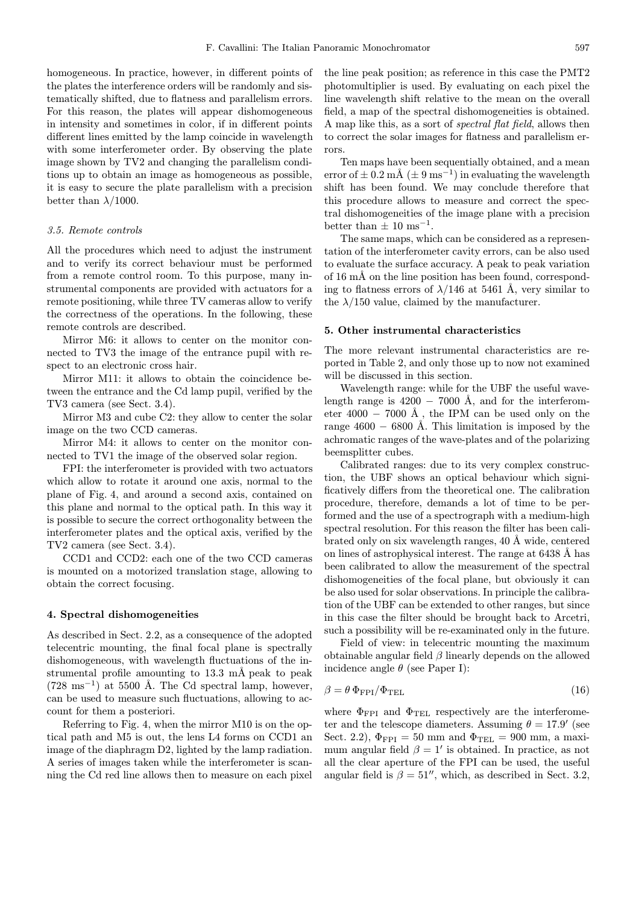homogeneous. In practice, however, in different points of the plates the interference orders will be randomly and sistematically shifted, due to flatness and parallelism errors. For this reason, the plates will appear dishomogeneous in intensity and sometimes in color, if in different points different lines emitted by the lamp coincide in wavelength with some interferometer order. By observing the plate image shown by TV2 and changing the parallelism conditions up to obtain an image as homogeneous as possible, it is easy to secure the plate parallelism with a precision better than  $\lambda/1000$ .

# 3.5. Remote controls

All the procedures which need to adjust the instrument and to verify its correct behaviour must be performed from a remote control room. To this purpose, many instrumental components are provided with actuators for a remote positioning, while three TV cameras allow to verify the correctness of the operations. In the following, these remote controls are described.

Mirror M6: it allows to center on the monitor connected to TV3 the image of the entrance pupil with respect to an electronic cross hair.

Mirror M11: it allows to obtain the coincidence between the entrance and the Cd lamp pupil, verified by the TV3 camera (see Sect. 3.4).

Mirror M3 and cube C2: they allow to center the solar image on the two CCD cameras.

Mirror M4: it allows to center on the monitor connected to TV1 the image of the observed solar region.

FPI: the interferometer is provided with two actuators which allow to rotate it around one axis, normal to the plane of Fig. 4, and around a second axis, contained on this plane and normal to the optical path. In this way it is possible to secure the correct orthogonality between the interferometer plates and the optical axis, verified by the TV2 camera (see Sect. 3.4).

CCD1 and CCD2: each one of the two CCD cameras is mounted on a motorized translation stage, allowing to obtain the correct focusing.

#### 4. Spectral dishomogeneities

As described in Sect. 2.2, as a consequence of the adopted telecentric mounting, the final focal plane is spectrally dishomogeneous, with wavelength fluctuations of the instrumental profile amounting to  $13.3 \text{ mA}$  peak to peak  $(728 \text{ ms}^{-1})$  at 5500 Å. The Cd spectral lamp, however, can be used to measure such fluctuations, allowing to account for them a posteriori.

Referring to Fig. 4, when the mirror M10 is on the optical path and M5 is out, the lens L4 forms on CCD1 an image of the diaphragm D2, lighted by the lamp radiation. A series of images taken while the interferometer is scanning the Cd red line allows then to measure on each pixel the line peak position; as reference in this case the PMT2 photomultiplier is used. By evaluating on each pixel the line wavelength shift relative to the mean on the overall field, a map of the spectral dishomogeneities is obtained. A map like this, as a sort of spectral flat field, allows then to correct the solar images for flatness and parallelism errors.

Ten maps have been sequentially obtained, and a mean error of  $\pm$  0.2 mÅ ( $\pm$  9 ms<sup>-1</sup>) in evaluating the wavelength shift has been found. We may conclude therefore that this procedure allows to measure and correct the spectral dishomogeneities of the image plane with a precision better than  $\pm 10$  ms<sup>-1</sup>.

The same maps, which can be considered as a representation of the interferometer cavity errors, can be also used to evaluate the surface accuracy. A peak to peak variation of 16 mÅ on the line position has been found, corresponding to flatness errors of  $\lambda/146$  at 5461 Å, very similar to the  $\lambda/150$  value, claimed by the manufacturer.

#### 5. Other instrumental characteristics

The more relevant instrumental characteristics are reported in Table 2, and only those up to now not examined will be discussed in this section.

Wavelength range: while for the UBF the useful wavelength range is  $4200 - 7000$  Å, and for the interferometer 4000 – 7000 Å, the IPM can be used only on the range  $4600 - 6800$  Å. This limitation is imposed by the achromatic ranges of the wave-plates and of the polarizing beemsplitter cubes.

Calibrated ranges: due to its very complex construction, the UBF shows an optical behaviour which significatively differs from the theoretical one. The calibration procedure, therefore, demands a lot of time to be performed and the use of a spectrograph with a medium-high spectral resolution. For this reason the filter has been calibrated only on six wavelength ranges, 40 Å wide, centered on lines of astrophysical interest. The range at 6438 Å has been calibrated to allow the measurement of the spectral dishomogeneities of the focal plane, but obviously it can be also used for solar observations. In principle the calibration of the UBF can be extended to other ranges, but since in this case the filter should be brought back to Arcetri, such a possibility will be re-examinated only in the future.

Field of view: in telecentric mounting the maximum obtainable angular field  $\beta$  linearly depends on the allowed incidence angle  $\theta$  (see Paper I):

$$
\beta = \theta \, \Phi_{\rm FPI} / \Phi_{\rm TEL} \tag{16}
$$

where  $\Phi_{\text{FPI}}$  and  $\Phi_{\text{TEL}}$  respectively are the interferometer and the telescope diameters. Assuming  $\theta = 17.9'$  (see Sect. 2.2),  $\Phi_{\text{FPI}} = 50$  mm and  $\Phi_{\text{TEL}} = 900$  mm, a maximum angular field  $\beta = 1'$  is obtained. In practice, as not all the clear aperture of the FPI can be used, the useful angular field is  $\beta = 51''$ , which, as described in Sect. 3.2,